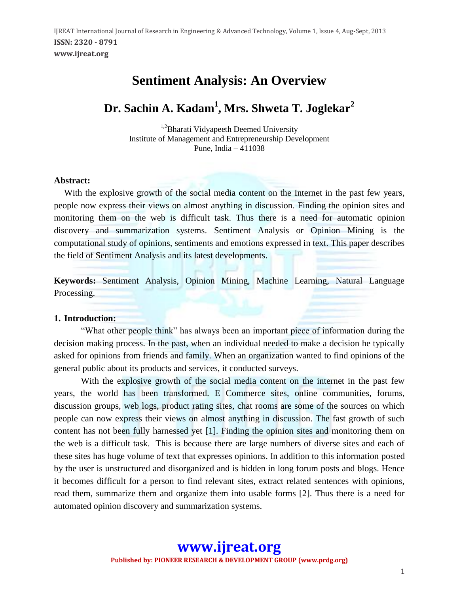## **Sentiment Analysis: An Overview**

# **Dr. Sachin A. Kadam<sup>1</sup> , Mrs. Shweta T. Joglekar<sup>2</sup>**

<sup>1,2</sup>Bharati Vidyapeeth Deemed University Institute of Management and Entrepreneurship Development Pune, India – 411038

#### **Abstract:**

With the explosive growth of the social media content on the Internet in the past few years, people now express their views on almost anything in discussion. Finding the opinion sites and monitoring them on the web is difficult task. Thus there is a need for automatic opinion discovery and summarization systems. Sentiment Analysis or Opinion Mining is the computational study of opinions, sentiments and emotions expressed in text. This paper describes the field of Sentiment Analysis and its latest developments.

**Keywords:** Sentiment Analysis, Opinion Mining, Machine Learning, Natural Language Processing.

#### **1. Introduction:**

"What other people think" has always been an important piece of information during the decision making process. In the past, when an individual needed to make a decision he typically asked for opinions from friends and family. When an organization wanted to find opinions of the general public about its products and services, it conducted surveys.

With the explosive growth of the social media content on the internet in the past few years, the world has been transformed. E Commerce sites, online communities, forums, discussion groups, web logs, product rating sites, chat rooms are some of the sources on which people can now express their views on almost anything in discussion. The fast growth of such content has not been fully harnessed yet [1]. Finding the opinion sites and monitoring them on the web is a difficult task. This is because there are large numbers of diverse sites and each of these sites has huge volume of text that expresses opinions. In addition to this information posted by the user is unstructured and disorganized and is hidden in long forum posts and blogs. Hence it becomes difficult for a person to find relevant sites, extract related sentences with opinions, read them, summarize them and organize them into usable forms [2]. Thus there is a need for automated opinion discovery and summarization systems.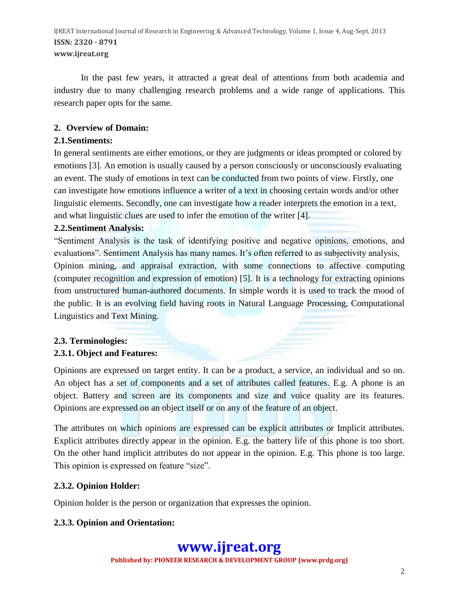In the past few years, it attracted a great deal of attentions from both academia and industry due to many challenging research problems and a wide range of applications. This research paper opts for the same.

## **2. Overview of Domain:**

## **2.1.Sentiments:**

In general sentiments are either emotions, or they are judgments or ideas prompted or colored by emotions [3]. An emotion is usually caused by a person consciously or unconsciously evaluating an event. The study of emotions in text can be conducted from two points of view. Firstly, one can investigate how emotions influence a writer of a text in choosing certain words and/or other linguistic elements. Secondly, one can investigate how a reader interprets the emotion in a text, and what linguistic clues are used to infer the emotion of the writer [4].

## **2.2.Sentiment Analysis:**

"Sentiment Analysis is the task of identifying positive and negative opinions, emotions, and evaluations". Sentiment Analysis has many names. It's often referred to as subjectivity analysis, Opinion mining, and appraisal extraction, with some connections to affective computing (computer recognition and expression of emotion) [5]. It is a technology for extracting opinions from unstructured human-authored documents. In simple words it is used to track the mood of the public. It is an evolving field having roots in Natural Language Processing, Computational Linguistics and Text Mining.

## **2.3. Terminologies:**

## **2.3.1. Object and Features:**

Opinions are expressed on target entity. It can be a product, a service, an individual and so on. An object has a set of components and a set of attributes called features. E.g. A phone is an object. Battery and screen are its components and size and voice quality are its features. Opinions are expressed on an object itself or on any of the feature of an object.

The attributes on which opinions are expressed can be explicit attributes or Implicit attributes. Explicit attributes directly appear in the opinion. E.g. the battery life of this phone is too short. On the other hand implicit attributes do not appear in the opinion. E.g. This phone is too large. This opinion is expressed on feature "size".

## **2.3.2. Opinion Holder:**

Opinion holder is the person or organization that expresses the opinion.

## **2.3.3. Opinion and Orientation:**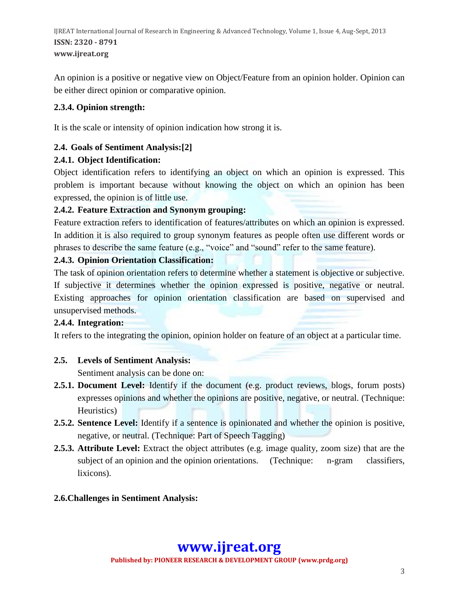An opinion is a positive or negative view on Object/Feature from an opinion holder. Opinion can be either direct opinion or comparative opinion.

## **2.3.4. Opinion strength:**

It is the scale or intensity of opinion indication how strong it is.

## **2.4. Goals of Sentiment Analysis:[2]**

## **2.4.1. Object Identification:**

Object identification refers to identifying an object on which an opinion is expressed. This problem is important because without knowing the object on which an opinion has been expressed, the opinion is of little use.

## **2.4.2. Feature Extraction and Synonym grouping:**

Feature extraction refers to identification of features/attributes on which an opinion is expressed. In addition it is also required to group synonym features as people often use different words or phrases to describe the same feature (e.g., "voice" and "sound" refer to the same feature).

## **2.4.3. Opinion Orientation Classification:**

The task of opinion orientation refers to determine whether a statement is objective or subjective. If subjective it determines whether the opinion expressed is positive, negative or neutral. Existing approaches for opinion orientation classification are based on supervised and unsupervised methods.

## **2.4.4. Integration:**

It refers to the integrating the opinion, opinion holder on feature of an object at a particular time.

## **2.5. Levels of Sentiment Analysis:**

Sentiment analysis can be done on:

- **2.5.1. Document Level:** Identify if the document (e.g. product reviews, blogs, forum posts) expresses opinions and whether the opinions are positive, negative, or neutral. (Technique: Heuristics)
- **2.5.2. Sentence Level:** Identify if a sentence is opinionated and whether the opinion is positive, negative, or neutral. (Technique: Part of Speech Tagging)
- **2.5.3. Attribute Level:** Extract the object attributes (e.g. image quality, zoom size) that are the subject of an opinion and the opinion orientations. (Technique: n-gram classifiers, lixicons).

## **2.6.Challenges in Sentiment Analysis:**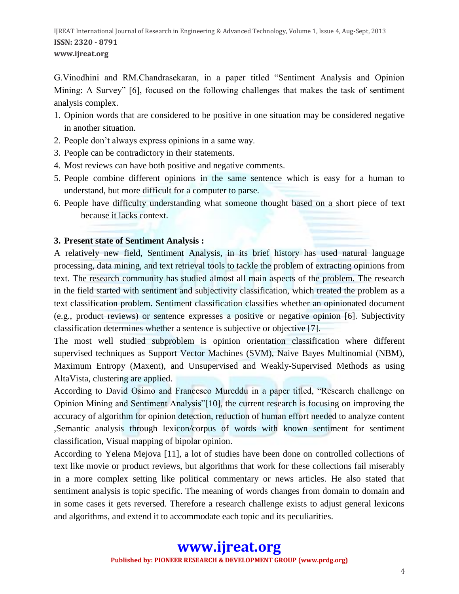G.Vinodhini and RM.Chandrasekaran, in a paper titled "Sentiment Analysis and Opinion Mining: A Survey" [6], focused on the following challenges that makes the task of sentiment analysis complex.

- 1. Opinion words that are considered to be positive in one situation may be considered negative in another situation.
- 2. People don't always express opinions in a same way.
- 3. People can be contradictory in their statements.
- 4. Most reviews can have both positive and negative comments.
- 5. People combine different opinions in the same sentence which is easy for a human to understand, but more difficult for a computer to parse.
- 6. People have difficulty understanding what someone thought based on a short piece of text because it lacks context.

#### **3. Present state of Sentiment Analysis :**

A relatively new field, Sentiment Analysis, in its brief history has used natural language processing, data mining, and text retrieval tools to tackle the problem of extracting opinions from text. The research community has studied almost all main aspects of the problem. The research in the field started with sentiment and subjectivity classification, which treated the problem as a text classification problem. Sentiment classification classifies whether an opinionated document (e.g., product reviews) or sentence expresses a positive or negative opinion [6]. Subjectivity classification determines whether a sentence is subjective or objective [7].

The most well studied subproblem is opinion orientation classification where different supervised techniques as Support Vector Machines (SVM), Naive Bayes Multinomial (NBM), Maximum Entropy (Maxent), and Unsupervised and Weakly-Supervised Methods as using AltaVista, clustering are applied.

According to David Osimo and Francesco Mureddu in a paper titled, "Research challenge on Opinion Mining and Sentiment Analysis"[10], the current research is focusing on improving the accuracy of algorithm for opinion detection, reduction of human effort needed to analyze content ,Semantic analysis through lexicon/corpus of words with known sentiment for sentiment classification, Visual mapping of bipolar opinion.

According to Yelena Mejova [11], a lot of studies have been done on controlled collections of text like movie or product reviews, but algorithms that work for these collections fail miserably in a more complex setting like political commentary or news articles. He also stated that sentiment analysis is topic specific. The meaning of words changes from domain to domain and in some cases it gets reversed. Therefore a research challenge exists to adjust general lexicons and algorithms, and extend it to accommodate each topic and its peculiarities.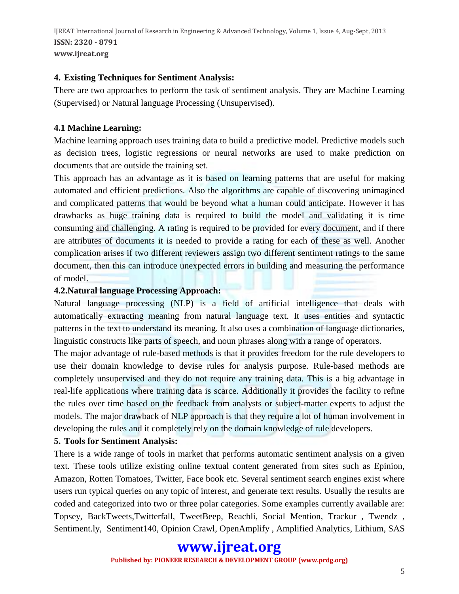IJREAT International Journal of Research in Engineering & Advanced Technology, Volume 1, Issue 4, Aug-Sept, 2013 **ISSN: 2320 - 8791 www.ijreat.org**

#### **4. Existing Techniques for Sentiment Analysis:**

There are two approaches to perform the task of sentiment analysis. They are Machine Learning (Supervised) or Natural language Processing (Unsupervised).

## **4.1 Machine Learning:**

Machine learning approach uses training data to build a predictive model. Predictive models such as decision trees, logistic regressions or neural networks are used to make prediction on documents that are outside the training set.

This approach has an advantage as it is based on learning patterns that are useful for making automated and efficient predictions. Also the algorithms are capable of discovering unimagined and complicated patterns that would be beyond what a human could anticipate. However it has drawbacks as huge training data is required to build the model and validating it is time consuming and challenging. A rating is required to be provided for every document, and if there are attributes of documents it is needed to provide a rating for each of these as well. Another complication arises if two different reviewers assign two different sentiment ratings to the same document, then this can introduce unexpected errors in building and measuring the performance of model.

#### **4.2.Natural language Processing Approach:**

Natural language processing (NLP) is a field of artificial intelligence that deals with automatically extracting meaning from natural language text. It uses entities and syntactic patterns in the text to understand its meaning. It also uses a combination of language dictionaries, linguistic constructs like parts of speech, and noun phrases along with a range of operators.

The major advantage of rule-based methods is that it provides freedom for the rule developers to use their domain knowledge to devise rules for analysis purpose. Rule-based methods are completely unsupervised and they do not require any training data. This is a big advantage in real-life applications where training data is scarce. Additionally it provides the facility to refine the rules over time based on the feedback from analysts or subject-matter experts to adjust the models. The major drawback of NLP approach is that they require a lot of human involvement in developing the rules and it completely rely on the domain knowledge of rule developers.

## **5. Tools for Sentiment Analysis:**

There is a wide range of tools in market that performs automatic sentiment analysis on a given text. These tools utilize existing online textual content generated from sites such as Epinion, Amazon, Rotten Tomatoes, Twitter, Face book etc. Several sentiment search engines exist where users run typical queries on any topic of interest, and generate text results. Usually the results are coded and categorized into two or three polar categories. Some examples currently available are: Topsey, [BackTweets](http://backtweets.com/)[,Twitterfall,](http://twitterfall.com/) [TweetBeep,](http://tweetbeep.com/) [Reachli,](http://www.reachli.com/landing) Social Mention, Trackur , Twendz , Sentiment.ly, Sentiment140, Opinion Crawl, OpenAmplify , Amplified Analytics, Lithium, SAS

## **www.ijreat.org Published by: PIONEER RESEARCH & DEVELOPMENT GROUP (www.prdg.org)**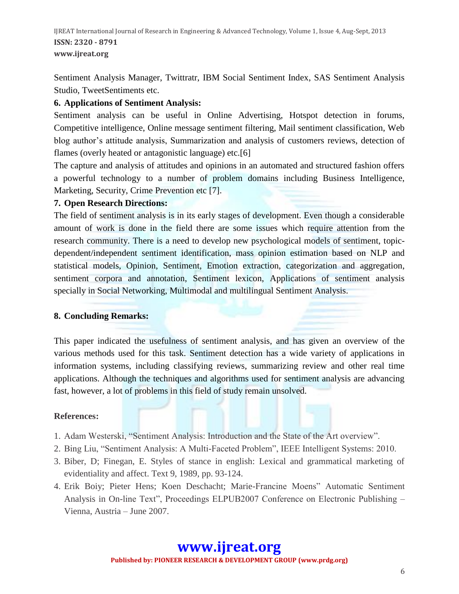IJREAT International Journal of Research in Engineering & Advanced Technology, Volume 1, Issue 4, Aug-Sept, 2013 **ISSN: 2320 - 8791 www.ijreat.org**

Sentiment Analysis Manager, Twittratr, IBM Social Sentiment Index, SAS Sentiment Analysis Studio, TweetSentiments etc.

## **6. Applications of Sentiment Analysis:**

Sentiment analysis can be useful in Online Advertising, Hotspot detection in forums, Competitive intelligence, Online message sentiment filtering, Mail sentiment classification, Web blog author's attitude analysis, Summarization and analysis of customers reviews, detection of flames (overly heated or antagonistic language) etc.[6]

The capture and analysis of attitudes and opinions in an automated and structured fashion offers a powerful technology to a number of problem domains including Business Intelligence, Marketing, Security, Crime Prevention etc [7].

## **7. Open Research Directions:**

The field of sentiment analysis is in its early stages of development. Even though a considerable amount of work is done in the field there are some issues which require attention from the research community. There is a need to develop new psychological models of sentiment, topicdependent/independent sentiment identification, mass opinion estimation based on NLP and statistical models, Opinion, Sentiment, Emotion extraction, categorization and aggregation, sentiment corpora and annotation, Sentiment lexicon, Applications of sentiment analysis specially in Social Networking, Multimodal and multilingual Sentiment Analysis.

## **8. Concluding Remarks:**

This paper indicated the usefulness of sentiment analysis, and has given an overview of the various methods used for this task. Sentiment detection has a wide variety of applications in information systems, including classifying reviews, summarizing review and other real time applications. Although the techniques and algorithms used for sentiment analysis are advancing fast, however, a lot of problems in this field of study remain unsolved.

## **References:**

- 1. Adam Westerski, "Sentiment Analysis: Introduction and the State of the Art overview".
- 2. Bing Liu, "Sentiment Analysis: A Multi-Faceted Problem", IEEE Intelligent Systems: 2010.
- 3. Biber, D; Finegan, E. Styles of stance in english: Lexical and grammatical marketing of evidentiality and affect. Text 9, 1989, pp. 93-124.
- 4. Erik Boiy; Pieter Hens; Koen Deschacht; Marie-Francine Moens" Automatic Sentiment Analysis in On-line Text", Proceedings ELPUB2007 Conference on Electronic Publishing – Vienna, Austria – June 2007.